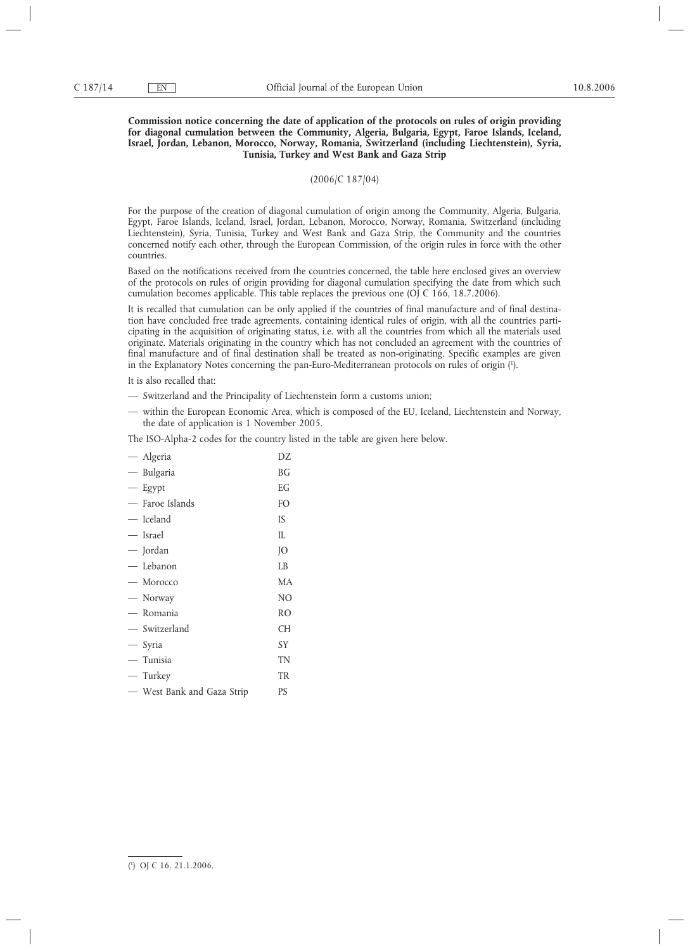## **Commission notice concerning the date of application of the protocols on rules of origin providing for diagonal cumulation between the Community, Algeria, Bulgaria, Egypt, Faroe Islands, Iceland, Israel, Jordan, Lebanon, Morocco, Norway, Romania, Switzerland (including Liechtenstein), Syria, Tunisia, Turkey and West Bank and Gaza Strip**

(2006/C 187/04)

For the purpose of the creation of diagonal cumulation of origin among the Community, Algeria, Bulgaria, Egypt, Faroe Islands, Iceland, Israel, Jordan, Lebanon, Morocco, Norway, Romania, Switzerland (including Liechtenstein), Syria, Tunisia, Turkey and West Bank and Gaza Strip, the Community and the countries concerned notify each other, through the European Commission, of the origin rules in force with the other countries.

Based on the notifications received from the countries concerned, the table here enclosed gives an overview of the protocols on rules of origin providing for diagonal cumulation specifying the date from which such cumulation becomes applicable. This table replaces the previous one (OJ C 166, 18.7.2006).

It is recalled that cumulation can be only applied if the countries of final manufacture and of final destination have concluded free trade agreements, containing identical rules of origin, with all the countries participating in the acquisition of originating status, i.e. with all the countries from which all the materials used originate. Materials originating in the country which has not concluded an agreement with the countries of final manufacture and of final destination shall be treated as non-originating. Specific examples are given in the Explanatory Notes concerning the pan-Euro-Mediterranean protocols on rules of origin (1 ).

It is also recalled that:

- Switzerland and the Principality of Liechtenstein form a customs union;
- within the European Economic Area, which is composed of the EU, Iceland, Liechtenstein and Norway, the date of application is 1 November 2005.

The ISO-Alpha-2 codes for the country listed in the table are given here below.

| — Algeria       | DZ             |
|-----------------|----------------|
| - Bulgaria      | BG             |
| $-$ Egypt       | EG             |
| — Faroe Islands | F <sub>O</sub> |
| — Iceland       | <b>IS</b>      |
| — Israel        | IL             |
| — Jordan        | JO             |
| — Lebanon       | LB             |
| — Morocco       | MA             |
| — Norway        | N <sub>O</sub> |
| — Romania       | <b>RO</b>      |
| — Switzerland   | <b>CH</b>      |
| - Syria         | SY             |
|                 |                |
| — Tunisia       | TN             |
| — Turkey        | <b>TR</b>      |